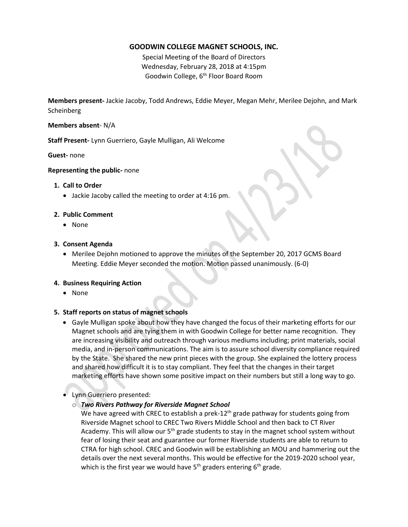# **GOODWIN COLLEGE MAGNET SCHOOLS, INC.**

Special Meeting of the Board of Directors Wednesday, February 28, 2018 at 4:15pm Goodwin College, 6<sup>th</sup> Floor Board Room

**Members present-** Jackie Jacoby, Todd Andrews, Eddie Meyer, Megan Mehr, Merilee Dejohn, and Mark Scheinberg

### **Members absent**- N/A

**Staff Present-** Lynn Guerriero, Gayle Mulligan, Ali Welcome

**Guest-** none

**Representing the public-** none

## **1. Call to Order**

Jackie Jacoby called the meeting to order at 4:16 pm.

## **2. Public Comment**

• None

## **3. Consent Agenda**

 Merilee Dejohn motioned to approve the minutes of the September 20, 2017 GCMS Board Meeting. Eddie Meyer seconded the motion. Motion passed unanimously. (6-0)

# **4. Business Requiring Action**

• None

# **5. Staff reports on status of magnet schools**

 Gayle Mulligan spoke about how they have changed the focus of their marketing efforts for our Magnet schools and are tying them in with Goodwin College for better name recognition. They are increasing visibility and outreach through various mediums including; print materials, social media, and in-person communications. The aim is to assure school diversity compliance required by the State. She shared the new print pieces with the group. She explained the lottery process and shared how difficult it is to stay compliant. They feel that the changes in their target marketing efforts have shown some positive impact on their numbers but still a long way to go.

# Lynn Guerriero presented:

# o *Two Rivers Pathway for Riverside Magnet School*

We have agreed with CREC to establish a prek-12<sup>th</sup> grade pathway for students going from Riverside Magnet school to CREC Two Rivers Middle School and then back to CT River Academy. This will allow our  $5<sup>th</sup>$  grade students to stay in the magnet school system without fear of losing their seat and guarantee our former Riverside students are able to return to CTRA for high school. CREC and Goodwin will be establishing an MOU and hammering out the details over the next several months. This would be effective for the 2019-2020 school year, which is the first year we would have  $5<sup>th</sup>$  graders entering  $6<sup>th</sup>$  grade.